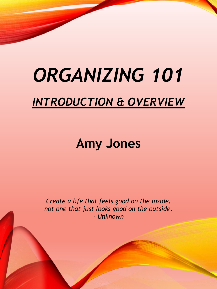# *ORGANIZING 101 INTRODUCTION & OVERVIEW*

# **Amy Jones**

*Create a life that feels good on the inside, not one that just looks good on the outside. - Unknown*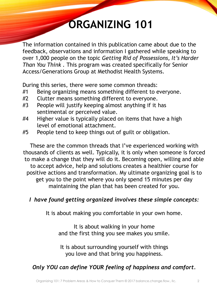# **ORGANIZING 101**

The information contained in this publication came about due to the feedback, observations and information I gathered while speaking to over 1,000 people on the topic *Getting Rid of Possessions, It's Harder Than You Think .* This program was created specifically for Senior Access/Generations Group at Methodist Health Systems.

During this series, there were some common threads:

- #1 Being organizing means something different to everyone.
- #2 Clutter means something different to everyone.
- #3 People will justify keeping almost anything if it has sentimental or perceived value.
- #4 Higher value is typically placed on items that have a high level of emotional attachment.
- #5 People tend to keep things out of guilt or obligation.

These are the common threads that I've experienced working with thousands of clients as well. Typically, it is only when someone is forced to make a change that they will do it. Becoming open, willing and able to accept advice, help and solutions creates a healthier course for positive actions and transformation. My ultimate organizing goal is to get you to the point where you only spend 15 minutes per day maintaining the plan that has been created for you.

### *I have found getting organized involves these simple concepts:*

It is about making you comfortable in your own home.

It is about walking in your home and the first thing you see makes you smile.

It is about surrounding yourself with things you love and that bring you happiness.

### *Only YOU can define YOUR feeling of happiness and comfort.*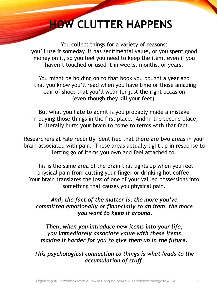## **HOW CLUTTER HAPPENS**

You collect things for a variety of reasons: you'll use it someday, it has sentimental value, or you spent good money on it, so you feel you need to keep the item, even if you haven't touched or used it in weeks, months, or years.

You might be holding on to that book you bought a year ago that you know you'll read when you have time or those amazing pair of shoes that you'll wear for just the right occasion (even though they kill your feet).

But what you hate to admit is you probably made a mistake in buying those things in the first place. And in the second place, it literally hurts your brain to come to terms with that fact.

Researchers at Yale recently identified that there are two areas in your brain associated with pain. These areas actually light up in response to letting go of items you own and feel attached to.

This is the same area of the brain that lights up when you feel physical pain from cutting your finger or drinking hot coffee. Your brain translates the loss of one of your valued possessions into something that causes you physical pain.

*And, the fact of the matter is, the more you've committed emotionally or financially to an item, the more you want to keep it around.*

*Then, when you introduce new items into your life, you immediately associate value with these items, making it harder for you to give them up in the future.* 

*This psychological connection to things is what leads to the accumulation of stuff.*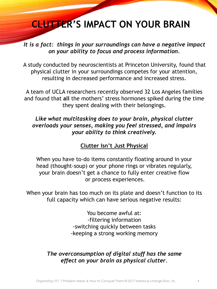### **CLUTTER'S IMPACT ON YOUR BRAIN**

*It is a fact: things in your surroundings can have a negative impact on your ability to focus and process information.* 

A study conducted by neuroscientists at Princeton University, found that physical clutter in your surroundings competes for your attention, resulting in decreased performance and increased stress.

A team of UCLA researchers recently observed 32 Los Angeles families and found that **all** the mothers' stress hormones spiked during the time they spent dealing with their belongings.

### *Like what multitasking does to your brain, physical clutter overloads your senses, making you feel stressed, and impairs your ability to think creatively.*

### **Clutter Isn't Just Physical**

When you have to-do items constantly floating around in your head (thought-soup) or your phone rings or vibrates regularly, your brain doesn't get a chance to fully enter creative flow or process experiences.

When your brain has too much on its plate and doesn't function to its full capacity which can have serious negative results:

> You become awful at: -filtering information -switching quickly between tasks -keeping a strong working memory

### *The overconsumption of digital stuff has the same effect on your brain as physical clutter*.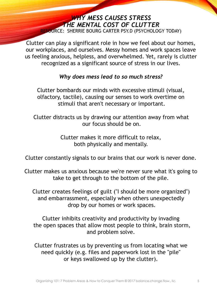#### *WHY MESS CAUSES STRESS THE MENTAL COST OF CLUTTER* RESOURCE: SHERRIE BOURG CARTER PSY.D (PSYCHOLOGY TODAY)

Clutter can play a significant role in how we feel about our homes, our workplaces, and ourselves. Messy homes and work spaces leave us feeling anxious, helpless, and overwhelmed. Yet, rarely is clutter recognized as a significant source of stress in our lives.

#### *Why does mess lead to so much stress?*

Clutter bombards our minds with excessive stimuli (visual, olfactory, tactile), causing our senses to work overtime on stimuli that aren't necessary or important.

Clutter distracts us by drawing our attention away from what our focus should be on.

> Clutter makes it more difficult to relax, both physically and mentally.

Clutter constantly signals to our brains that our work is never done.

Clutter makes us anxious because we're never sure what it's going to take to get through to the bottom of the pile.

Clutter creates feelings of guilt ("I should be more organized") and embarrassment, especially when others unexpectedly drop by our homes or work spaces.

Clutter inhibits creativity and productivity by invading the open spaces that allow most people to think, brain storm, and problem solve.

Clutter frustrates us by preventing us from locating what we need quickly (e.g. files and paperwork lost in the "pile" or keys swallowed up by the clutter).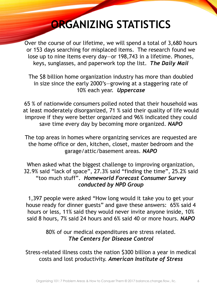## **ORGANIZING STATISTICS**

Over the course of our lifetime, we will spend a total of 3,680 hours or 153 days searching for misplaced items. The research found we lose up to nine items every day—or 198,743 in a lifetime. Phones, keys, sunglasses, and paperwork top the list. *The Daily Mail*

The \$8 billion home organization industry has more than doubled in size since the early 2000's—growing at a staggering rate of 10% each year. *Uppercase*

65 % of nationwide consumers polled noted that their household was at least moderately disorganized, 71 % said their quality of life would improve if they were better organized and 96% indicated they could save time every day by becoming more organized. *NAPO*

The top areas in homes where organizing services are requested are the home office or den, kitchen, closet, master bedroom and the garage/attic/basement areas. *NAPO*

When asked what the biggest challenge to improving organization, 32.9% said "lack of space", 27.3% said "finding the time", 25.2% said "too much stuff". *Homeworld Forecast Consumer Survey conducted by NPD Group*

1,397 people were asked "How long would it take you to get your house ready for dinner guests" and gave these answers: 65% said 4 hours or less, 11% said they would never invite anyone inside, 10% said 8 hours, 7% said 24 hours and 6% said 40 or more hours. *NAPO*

> 80% of our medical expenditures are stress related. *The Centers for Disease Control*

Stress-related illness costs the nation \$300 billion a year in medical costs and lost productivity. *American Institute of Stress*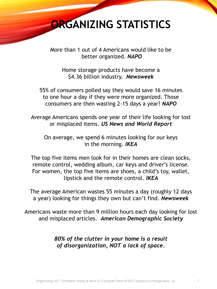### **ORGANIZING STATISTICS**

More than 1 out of 4 Americans would like to be better organized. *NAPO*

Home storage products have become a \$4.36 billion industry. *Newsweek*

55% of consumers polled say they would save 16 minutes to one hour a day if they were more organized. Those consumers are then wasting 2-15 days a year! *NAPO*

Average Americans spends one year of their life looking for lost or misplaced items. *US News and World Report*

On average, we spend 6 minutes looking for our keys in the morning. *IKEA*

The top five items men look for in their homes are clean socks, remote control, wedding album, car keys and driver's license. For women, the top five items are shoes, a child's toy, wallet, lipstick and the remote control. *IKEA*

The average American wastes 55 minutes a day (roughly 12 days a year) looking for things they own but can't find. *Newsweek*

Americans waste more than 9 million hours each day looking for lost and misplaced articles. *American Demographic Society*

> *80% of the clutter in your home is a result of disorganization, NOT a lack of space.*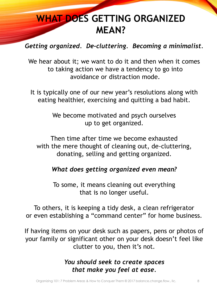### **WHAT DOES GETTING ORGANIZED MEAN?**

### *Getting organized. De-cluttering. Becoming a minimalist.*

We hear about it; we want to do it and then when it comes to taking action we have a tendency to go into avoidance or distraction mode.

It is typically one of our new year's resolutions along with eating healthier, exercising and quitting a bad habit.

> We become motivated and psych ourselves up to get organized.

Then time after time we become exhausted with the mere thought of cleaning out, de-cluttering, donating, selling and getting organized.

### *What does getting organized even mean?*

To some, it means cleaning out everything that is no longer useful.

To others, it is keeping a tidy desk, a clean refrigerator or even establishing a "command center" for home business.

If having items on your desk such as papers, pens or photos of your family or significant other on your desk doesn't feel like clutter to you, then it's not.

### *You should seek to create spaces that make you feel at ease.*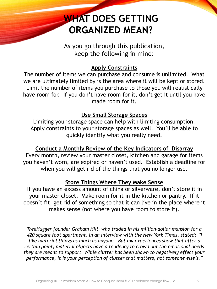### **WHAT DOES GETTING ORGANIZED MEAN?**

As you go through this publication, keep the following in mind:

#### **Apply Constraints**

The number of items we can purchase and consume is unlimited. What we are ultimately limited by is the area where it will be kept or stored. Limit the number of items you purchase to those you will realistically have room for. If you don't have room for it, don't get it until you have made room for it.

#### **Use Small Storage Spaces**

Limiting your storage space can help with limiting consumption. Apply constraints to your storage spaces as well. You'll be able to quickly identify what you really need.

### **Conduct a Monthly Review of the Key Indicators of Disarray**

Every month, review your master closet, kitchen and garage for items you haven't worn, are expired or haven't used. Establish a deadline for when you will get rid of the things that you no longer use.

#### **Store Things Where They Make Sense**

If you have an excess amount of china or silverware, don't store it in your master closet. Make room for it in the kitchen or pantry. If it doesn't fit, get rid of something so that it can live in the place where it makes sense (not where you have room to store it).

*TreeHugger founder Graham Hill, who traded in his million-dollar mansion for a 420 square foot apartment, in an interview with the New York Times, stated: "I like material things as much as anyone. But my experiences show that after a certain point, material objects have a tendency to crowd out the emotional needs they are meant to support. While clutter has been shown to negatively effect your performance, it is your perception of clutter that matters, not someone else's."*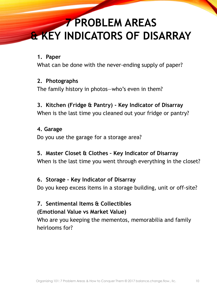## **7 PROBLEM AREAS & KEY INDICATORS OF DISARRAY**

#### **1. Paper**

What can be done with the never-ending supply of paper?

#### **2. Photographs**

The family history in photos—who's even in them?

### **3. Kitchen (Fridge & Pantry) - Key Indicator of Disarray**

When is the last time you cleaned out your fridge or pantry?

#### **4. Garage**

Do you use the garage for a storage area?

### **5. Master Closet & Clothes – Key Indicator of Disarray**

When is the last time you went through everything in the closet?

### **6. Storage – Key Indicator of Disarray**

Do you keep excess items in a storage building, unit or off-site?

### **7. Sentimental Items & Collectibles (Emotional Value vs Market Value)**

Who are you keeping the mementos, memorabilia and family heirlooms for?